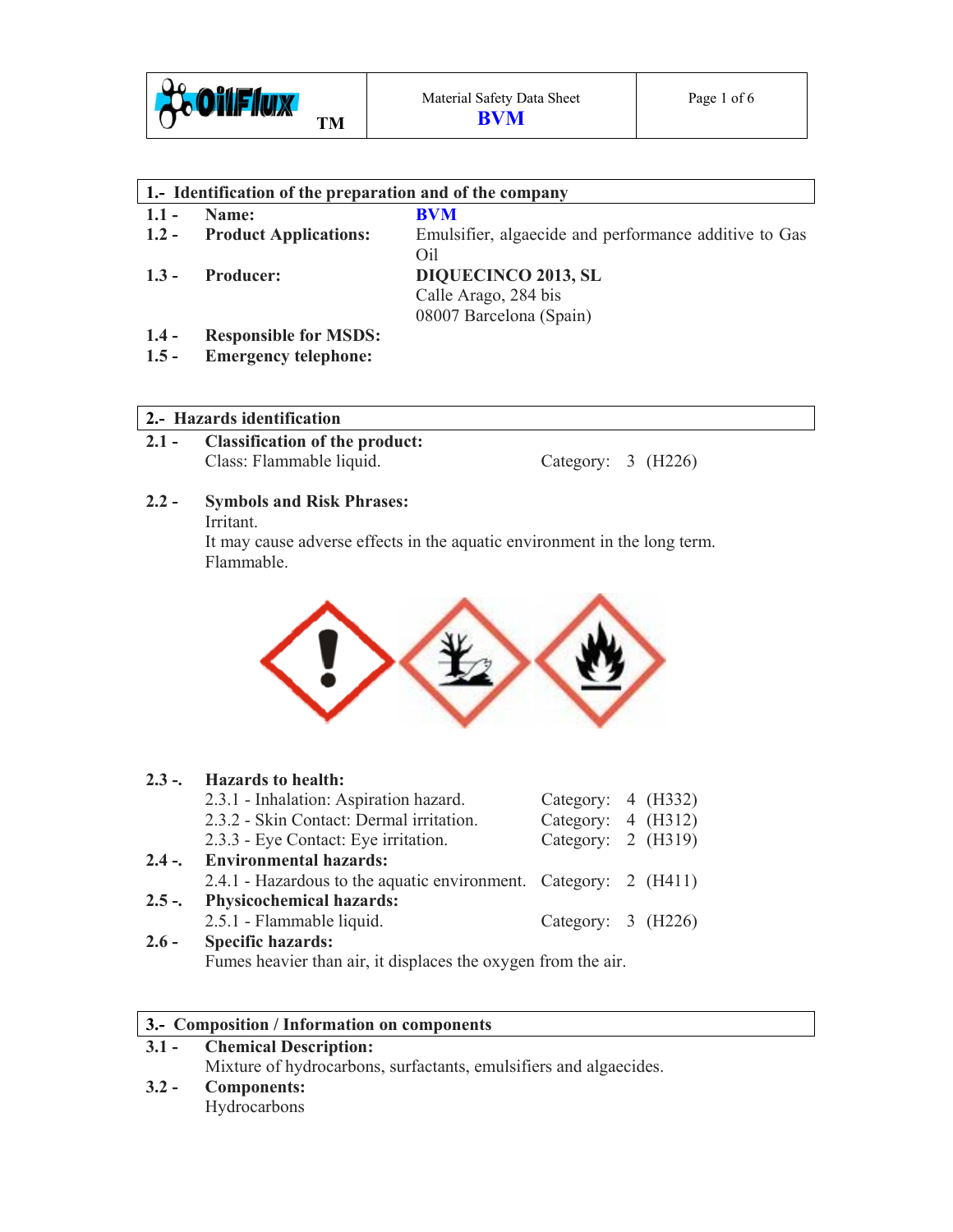

| 1. Identification of the preparation and of the company |                              |                                                       |  |  |  |
|---------------------------------------------------------|------------------------------|-------------------------------------------------------|--|--|--|
| $1.1 -$                                                 | Name:                        | <b>BVM</b>                                            |  |  |  |
| $1.2 -$                                                 | <b>Product Applications:</b> | Emulsifier, algaecide and performance additive to Gas |  |  |  |
|                                                         |                              | Oil                                                   |  |  |  |
| $1.3 -$                                                 | <b>Producer:</b>             | <b>DIQUECINCO 2013, SL</b>                            |  |  |  |
|                                                         |                              | Calle Arago, 284 bis                                  |  |  |  |
|                                                         |                              | 08007 Barcelona (Spain)                               |  |  |  |
| $1.4 -$                                                 | <b>Responsible for MSDS:</b> |                                                       |  |  |  |
| $1.5 -$                                                 | <b>Emergency telephone:</b>  |                                                       |  |  |  |

## **2.- Hazards identification**

**2.1 - Classification of the product:**  Class: Flammable liquid. Category: 3 (H226)

# **2.2 - Symbols and Risk Phrases:**

Irritant.

It may cause adverse effects in the aquatic environment in the long term. Flammable.



| $2.3 -$ | <b>Hazards to health:</b>                                        |                      |  |  |  |
|---------|------------------------------------------------------------------|----------------------|--|--|--|
|         | 2.3.1 - Inhalation: Aspiration hazard.                           | Category: 4 (H332)   |  |  |  |
|         | 2.3.2 - Skin Contact: Dermal irritation.                         | Category: $4$ (H312) |  |  |  |
|         | 2.3.3 - Eye Contact: Eye irritation.                             | Category: 2 (H319)   |  |  |  |
|         | 2.4 -. Environmental hazards:                                    |                      |  |  |  |
|         | 2.4.1 - Hazardous to the aquatic environment. Category: 2 (H411) |                      |  |  |  |
| $2.5 -$ | <b>Physicochemical hazards:</b>                                  |                      |  |  |  |
|         | 2.5.1 - Flammable liquid.                                        | Category: 3 (H226)   |  |  |  |
| $2.6 -$ | <b>Specific hazards:</b>                                         |                      |  |  |  |

Fumes heavier than air, it displaces the oxygen from the air.

## **3.- Composition / Information on components**

## **3.1 - Chemical Description:**  Mixture of hydrocarbons, surfactants, emulsifiers and algaecides. **3.2 - Components:**  Hydrocarbons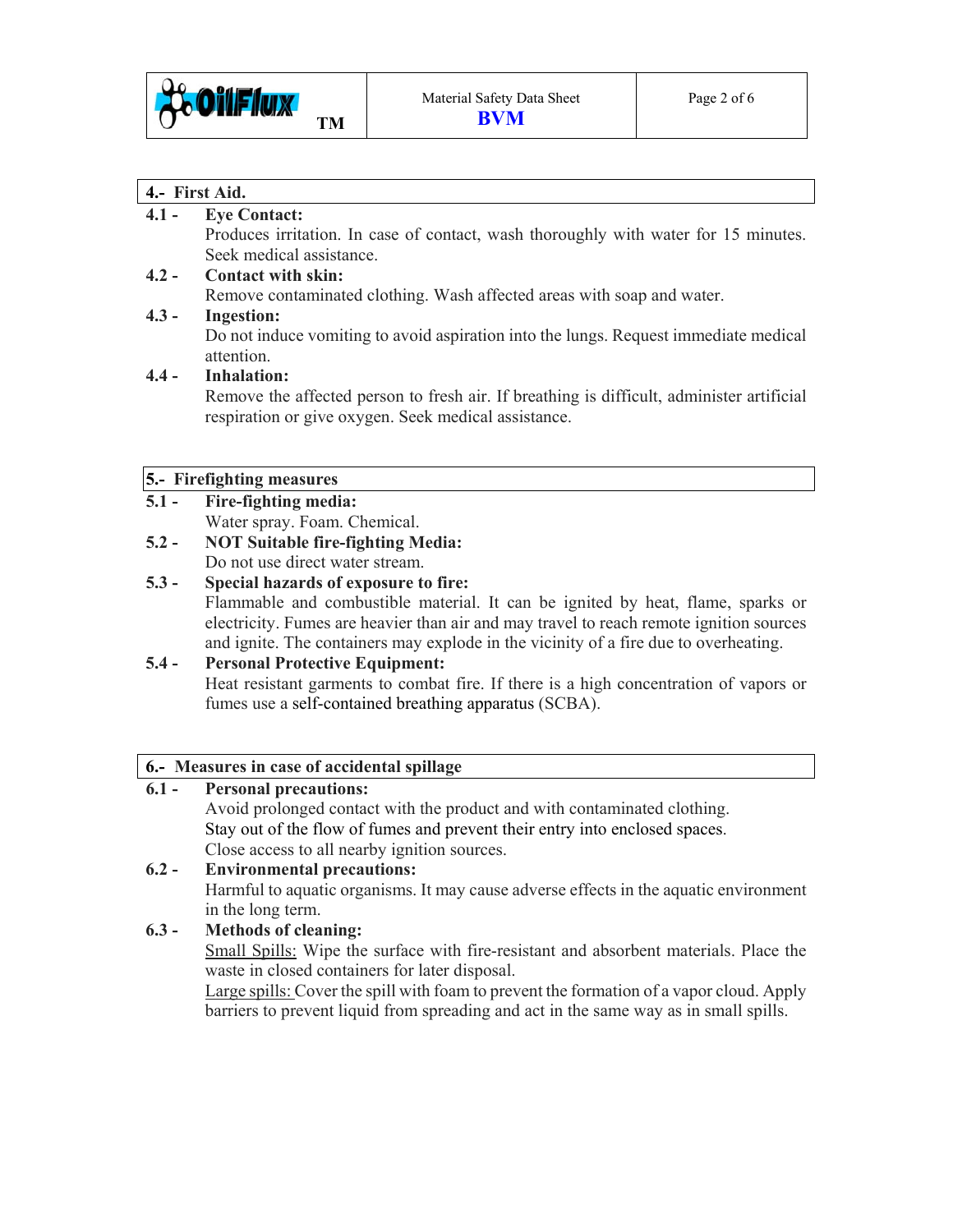

#### **4.- First Aid.**

#### **4.1 - Eye Contact:**

Produces irritation. In case of contact, wash thoroughly with water for 15 minutes. Seek medical assistance.

# **4.2 - Contact with skin:**

Remove contaminated clothing. Wash affected areas with soap and water.

## **4.3 - Ingestion:**

Do not induce vomiting to avoid aspiration into the lungs. Request immediate medical attention.

## **4.4 - Inhalation:**

Remove the affected person to fresh air. If breathing is difficult, administer artificial respiration or give oxygen. Seek medical assistance.

#### **5.- Firefighting measures**

- **5.1 Fire-fighting media:**  Water spray. Foam. Chemical.
- **5.2 NOT Suitable fire-fighting Media:**  Do not use direct water stream.

#### **5.3 - Special hazards of exposure to fire:**  Flammable and combustible material. It can be ignited by heat, flame, sparks or electricity. Fumes are heavier than air and may travel to reach remote ignition sources and ignite. The containers may explode in the vicinity of a fire due to overheating.

## **5.4 - Personal Protective Equipment:**

Heat resistant garments to combat fire. If there is a high concentration of vapors or fumes use a self-contained breathing apparatus (SCBA).

## **6.- Measures in case of accidental spillage**

# **6.1 - Personal precautions:**

Avoid prolonged contact with the product and with contaminated clothing. Stay out of the flow of fumes and prevent their entry into enclosed spaces. Close access to all nearby ignition sources.

# **6.2 - Environmental precautions:**  Harmful to aquatic organisms. It may cause adverse effects in the aquatic environment in the long term.

## **6.3 - Methods of cleaning:**

Small Spills: Wipe the surface with fire-resistant and absorbent materials. Place the waste in closed containers for later disposal.

 Large spills: Cover the spill with foam to prevent the formation of a vapor cloud. Apply barriers to prevent liquid from spreading and act in the same way as in small spills.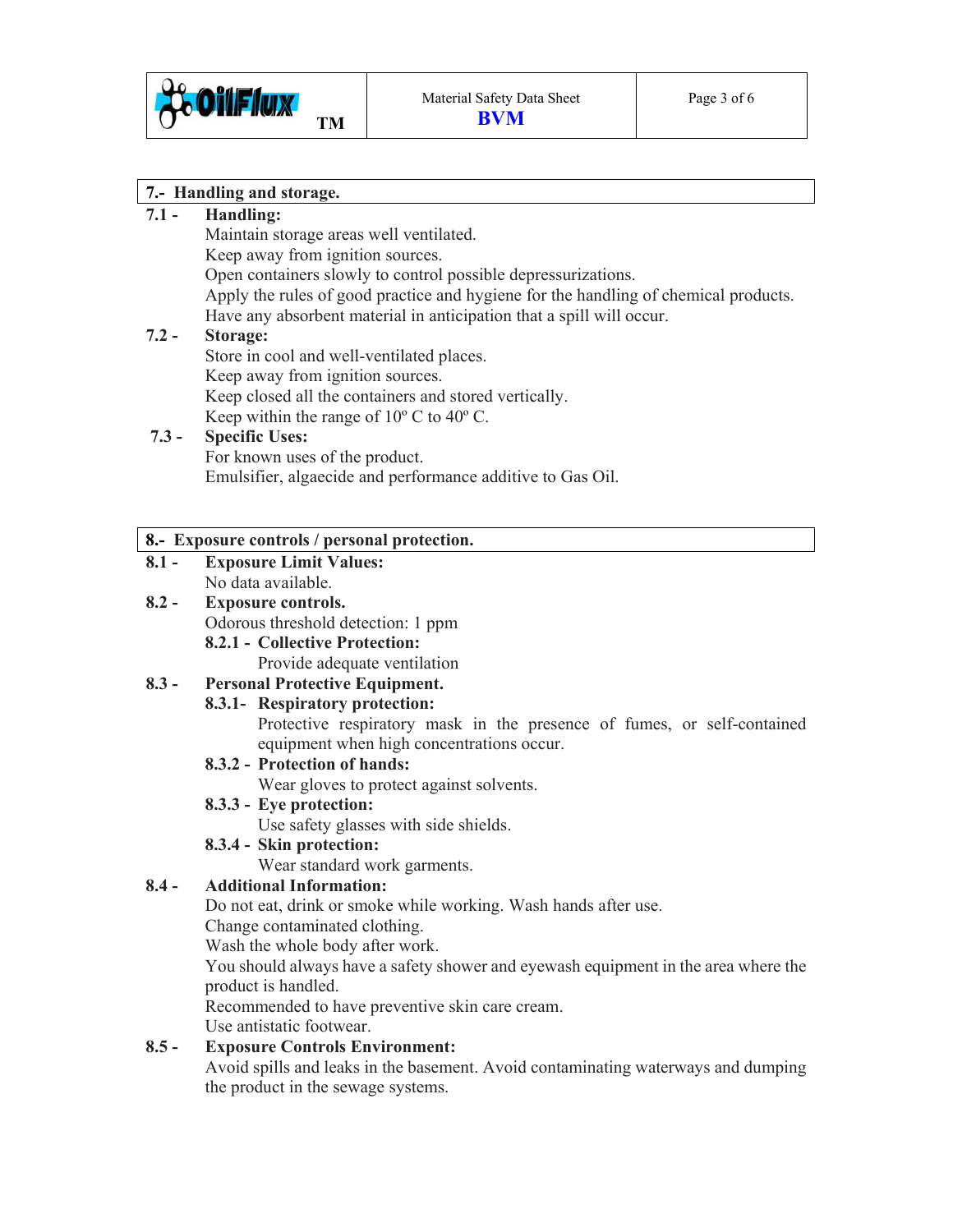

## **7.- Handling and storage.**

## **7.1 - Handling:**

Maintain storage areas well ventilated.

Keep away from ignition sources.

Open containers slowly to control possible depressurizations.

 Apply the rules of good practice and hygiene for the handling of chemical products. Have any absorbent material in anticipation that a spill will occur.

## **7.2 - Storage:**

Store in cool and well-ventilated places. Keep away from ignition sources. Keep closed all the containers and stored vertically. Keep within the range of  $10^{\circ}$  C to  $40^{\circ}$  C.

#### **7.3 - Specific Uses:** For known uses of the product.

Emulsifier, algaecide and performance additive to Gas Oil.

## **8.- Exposure controls / personal protection.**

**8.1 - Exposure Limit Values:**  No data available.

# **8.2 - Exposure controls.**

Odorous threshold detection: 1 ppm

 **8.2.1 - Collective Protection:** 

Provide adequate ventilation

# **8.3 - Personal Protective Equipment.**

## **8.3.1- Respiratory protection:**

Protective respiratory mask in the presence of fumes, or self-contained equipment when high concentrations occur.

## **8.3.2 - Protection of hands:**

Wear gloves to protect against solvents.

## **8.3.3 - Eye protection:**

Use safety glasses with side shields.

## **8.3.4 - Skin protection:**

Wear standard work garments.

## **8.4 - Additional Information:**

Do not eat, drink or smoke while working. Wash hands after use.

Change contaminated clothing.

Wash the whole body after work.

 You should always have a safety shower and eyewash equipment in the area where the product is handled.

Recommended to have preventive skin care cream.

Use antistatic footwear.

## **8.5 - Exposure Controls Environment:**

Avoid spills and leaks in the basement. Avoid contaminating waterways and dumping the product in the sewage systems.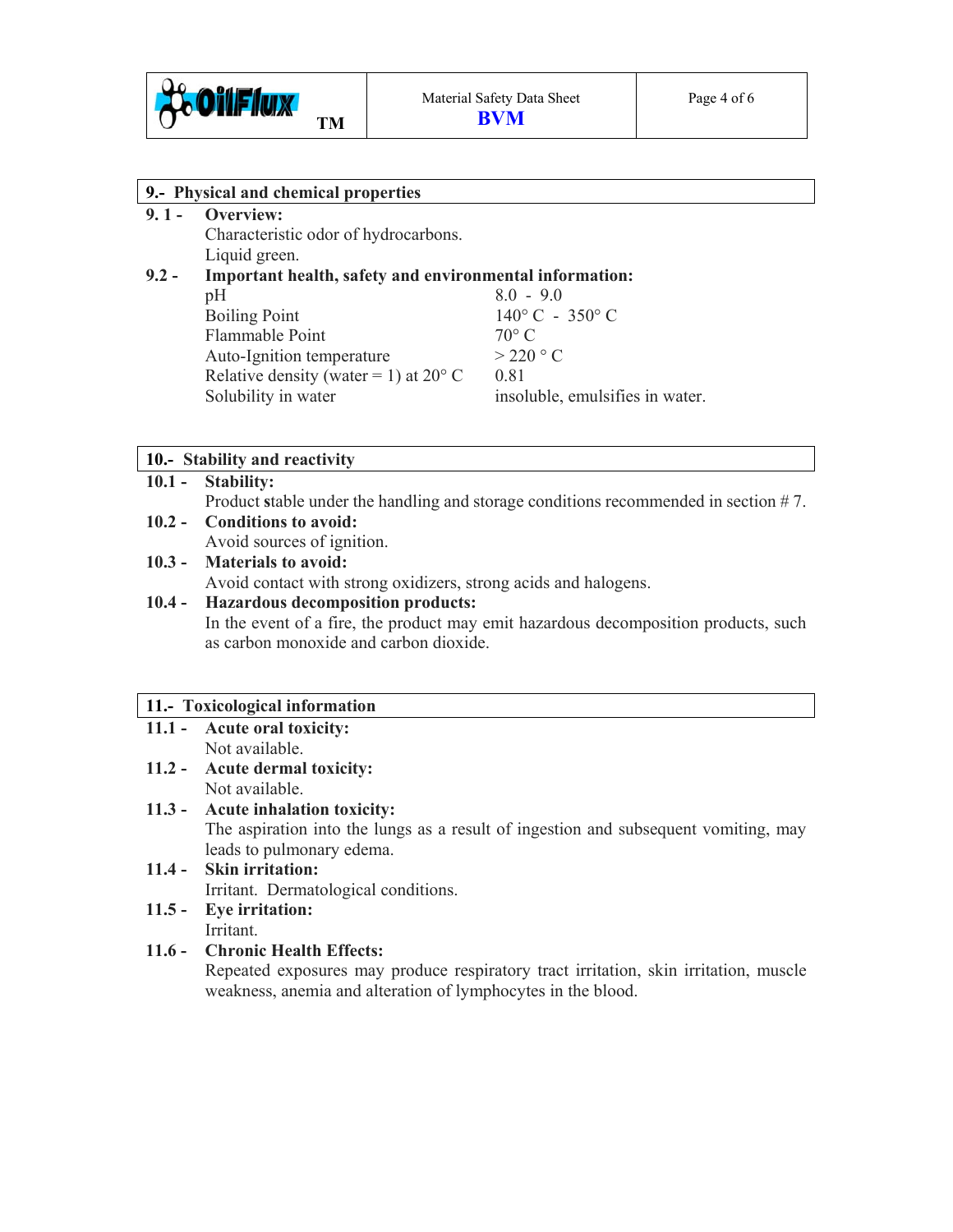

| 9.- Physical and chemical properties |                                                         |                                 |  |  |
|--------------------------------------|---------------------------------------------------------|---------------------------------|--|--|
| $9.1 -$                              | Overview:                                               |                                 |  |  |
|                                      | Characteristic odor of hydrocarbons.                    |                                 |  |  |
|                                      | Liquid green.                                           |                                 |  |  |
| $9.2 -$                              | Important health, safety and environmental information: |                                 |  |  |
|                                      | pH                                                      | $8.0 - 9.0$                     |  |  |
|                                      | <b>Boiling Point</b>                                    | $140^{\circ}$ C - 350° C        |  |  |
|                                      | Flammable Point                                         | $70^{\circ}$ C                  |  |  |
|                                      | Auto-Ignition temperature                               | $>$ 220 $\degree$ C             |  |  |
|                                      | Relative density (water = 1) at $20^{\circ}$ C          | 0.81                            |  |  |
|                                      | Solubility in water                                     | insoluble, emulsifies in water. |  |  |
|                                      |                                                         |                                 |  |  |
|                                      |                                                         |                                 |  |  |

## **10.- Stability and reactivity**

#### **10.1 - Stability:**

Product **s**table under the handling and storage conditions recommended in section # 7.

#### **10.2 - Conditions to avoid:**

Avoid sources of ignition.

#### **10.3 - Materials to avoid:**

Avoid contact with strong oxidizers, strong acids and halogens.

## **10.4 - Hazardous decomposition products:**

In the event of a fire, the product may emit hazardous decomposition products, such as carbon monoxide and carbon dioxide.

#### **11.- Toxicological information**

- **11.1 Acute oral toxicity:** Not available.
- **11.2 Acute dermal toxicity:**  Not available.

#### **11.3 - Acute inhalation toxicity:**

The aspiration into the lungs as a result of ingestion and subsequent vomiting, may leads to pulmonary edema.

**11.4 - Skin irritation:**  Irritant.Dermatological conditions.

#### **11.5 - Eye irritation:**  Irritant.

#### **11.6 - Chronic Health Effects:**

Repeated exposures may produce respiratory tract irritation, skin irritation, muscle weakness, anemia and alteration of lymphocytes in the blood.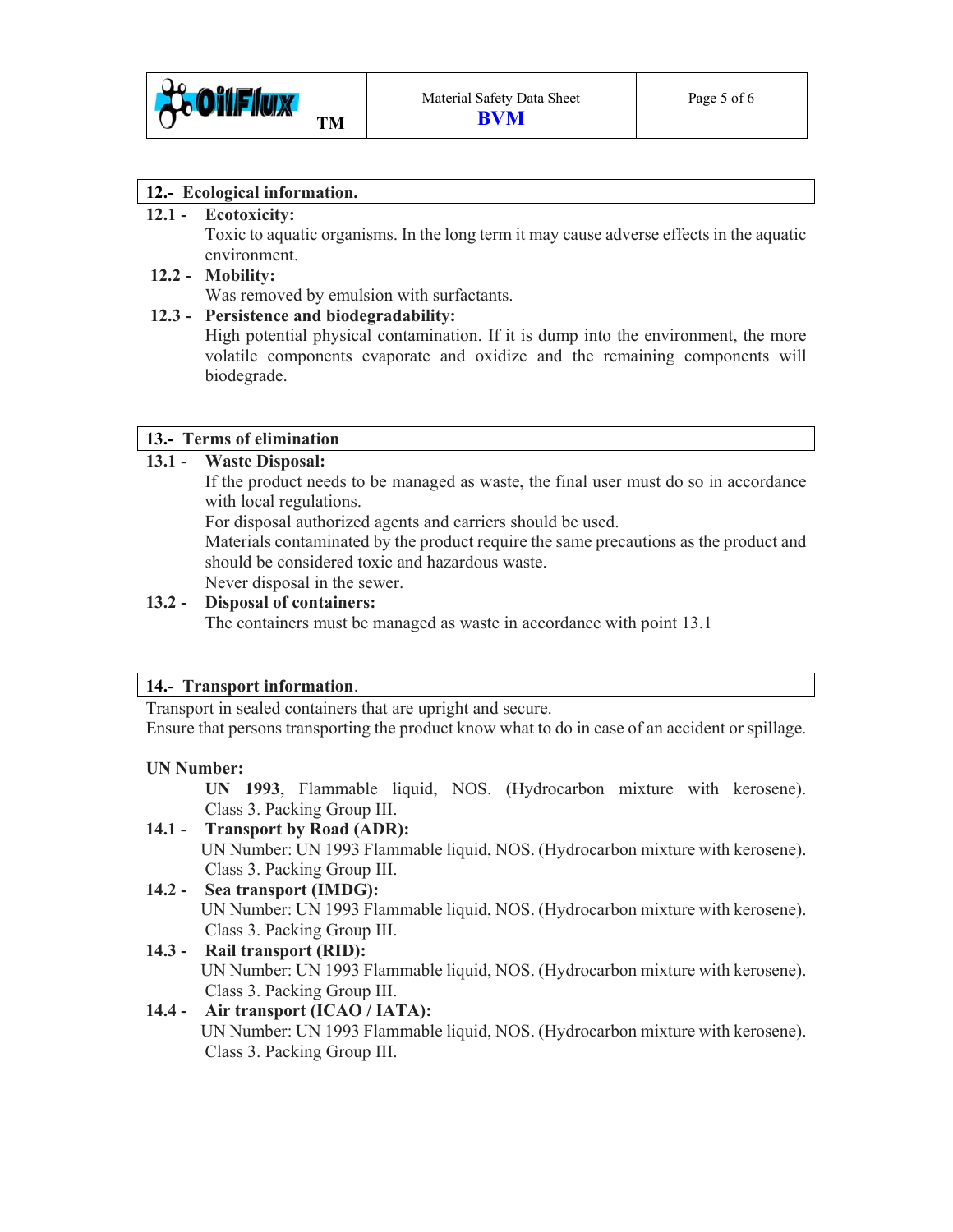

#### **12.- Ecological information.**

#### **12.1 - Ecotoxicity:**

Toxic to aquatic organisms. In the long term it may cause adverse effects in the aquatic environment.

#### **12.2 - Mobility:**

Was removed by emulsion with surfactants.

#### **12.3 - Persistence and biodegradability:**

High potential physical contamination. If it is dump into the environment, the more volatile components evaporate and oxidize and the remaining components will biodegrade.

#### **13.- Terms of elimination**

## **13.1 - Waste Disposal:**

If the product needs to be managed as waste, the final user must do so in accordance with local regulations.

For disposal authorized agents and carriers should be used.

 Materials contaminated by the product require the same precautions as the product and should be considered toxic and hazardous waste. Never disposal in the sewer.

## **13.2 - Disposal of containers:**

The containers must be managed as waste in accordance with point 13.1

#### **14.- Transport information**.

Transport in sealed containers that are upright and secure.

Ensure that persons transporting the product know what to do in case of an accident or spillage.

#### **UN Number:**

 **UN 1993**, Flammable liquid, NOS. (Hydrocarbon mixture with kerosene). Class 3. Packing Group III.

## **14.1 - Transport by Road (ADR):**

 UN Number: UN 1993 Flammable liquid, NOS. (Hydrocarbon mixture with kerosene). Class 3. Packing Group III.

#### **14.2 - Sea transport (IMDG):**  UN Number: UN 1993 Flammable liquid, NOS. (Hydrocarbon mixture with kerosene). Class 3. Packing Group III.

## **14.3 - Rail transport (RID):**

UN Number: UN 1993 Flammable liquid, NOS. (Hydrocarbon mixture with kerosene). Class 3. Packing Group III.

## **14.4 - Air transport (ICAO / IATA):**

UN Number: UN 1993 Flammable liquid, NOS. (Hydrocarbon mixture with kerosene). Class 3. Packing Group III.